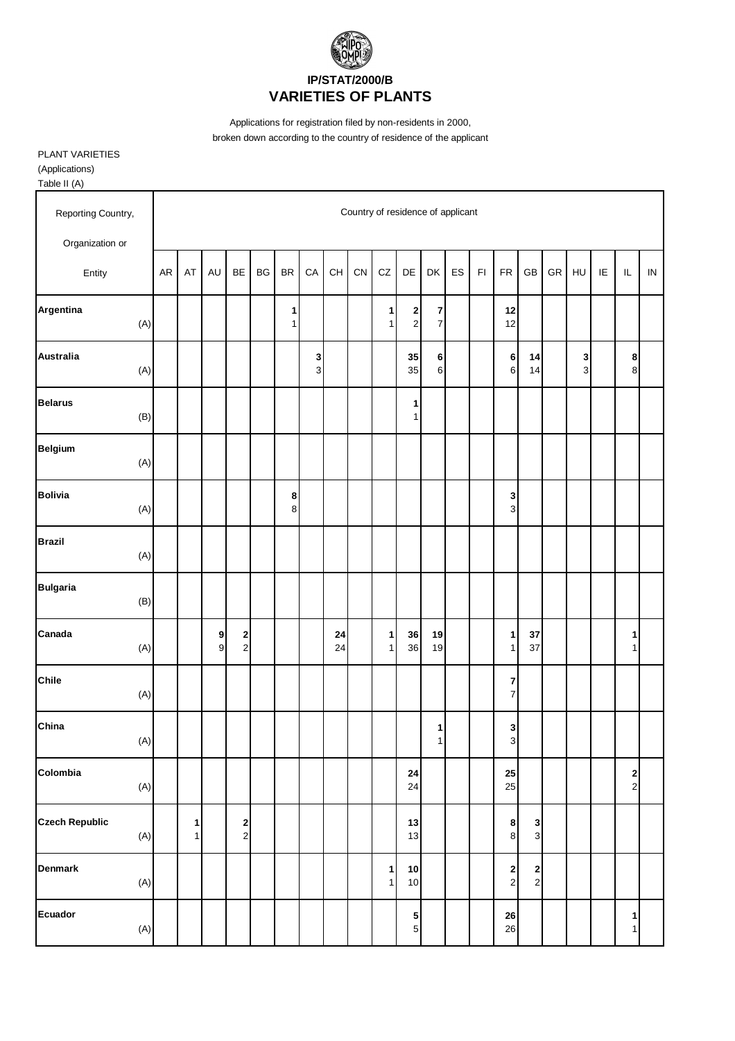

Applications for registration filed by non-residents in 2000, broken down according to the country of residence of the applicant

PLANT VARIETIES (Applications) Table II (A)

| Reporting Country,           |    |                   |            |                                             |    |                   |                                |          | Country of residence of applicant<br>CZ<br>ES<br>FR<br>GB<br>GR<br>IE<br>IL<br>CN<br>DE<br>DK<br>F1<br>HU<br>$\mathbf{2}$<br>$\overline{\mathbf{z}}$<br>1<br>12<br>$\overline{7}$<br>$\overline{2}$<br>12<br>1<br>35<br>$\bf 6$<br>$\bf 6$<br>8<br>14<br>3<br>6<br>$\bf{8}$<br>35<br>$\,6\,$<br>14<br>$\ensuremath{\mathsf{3}}$<br>1<br>$\mathbf{1}$<br>$\mathbf 3$<br>$\mathsf 3$<br>1<br>36<br>19<br>1<br>$37\,$<br>1<br>37<br>19<br>$\mathbf{1}$<br>36<br>$\mathbf{1}$<br>1<br>$\boldsymbol{7}$<br>$\overline{7}$<br>$\mathbf 3$<br>1<br>$\mathbf{3}$<br>$\mathbf{1}$<br>${\bf 24}$<br>25 |                              |                                    |  |  |  |                            |                                                |  |  |  |                                          |            |
|------------------------------|----|-------------------|------------|---------------------------------------------|----|-------------------|--------------------------------|----------|----------------------------------------------------------------------------------------------------------------------------------------------------------------------------------------------------------------------------------------------------------------------------------------------------------------------------------------------------------------------------------------------------------------------------------------------------------------------------------------------------------------------------------------------------------------------------------------------|------------------------------|------------------------------------|--|--|--|----------------------------|------------------------------------------------|--|--|--|------------------------------------------|------------|
| Organization or              |    |                   |            |                                             |    |                   |                                |          |                                                                                                                                                                                                                                                                                                                                                                                                                                                                                                                                                                                              |                              |                                    |  |  |  |                            |                                                |  |  |  |                                          |            |
| Entity                       | AR | AT                | AU         | <b>BE</b>                                   | BG | <b>BR</b>         | CA                             | CH       |                                                                                                                                                                                                                                                                                                                                                                                                                                                                                                                                                                                              |                              |                                    |  |  |  |                            |                                                |  |  |  |                                          | ${\sf IN}$ |
| Argentina<br>(A)             |    |                   |            |                                             |    | 1<br>$\mathbf{1}$ |                                |          |                                                                                                                                                                                                                                                                                                                                                                                                                                                                                                                                                                                              |                              |                                    |  |  |  |                            |                                                |  |  |  |                                          |            |
| Australia<br>(A)             |    |                   |            |                                             |    |                   | $\mathbf{3}$<br>$\overline{3}$ |          |                                                                                                                                                                                                                                                                                                                                                                                                                                                                                                                                                                                              |                              |                                    |  |  |  |                            |                                                |  |  |  |                                          |            |
| <b>Belarus</b><br>(B)        |    |                   |            |                                             |    |                   |                                |          |                                                                                                                                                                                                                                                                                                                                                                                                                                                                                                                                                                                              |                              |                                    |  |  |  |                            |                                                |  |  |  |                                          |            |
| <b>Belgium</b><br>(A)        |    |                   |            |                                             |    |                   |                                |          |                                                                                                                                                                                                                                                                                                                                                                                                                                                                                                                                                                                              |                              |                                    |  |  |  |                            |                                                |  |  |  |                                          |            |
| <b>Bolivia</b><br>(A)        |    |                   |            |                                             |    | 8<br>8            |                                |          |                                                                                                                                                                                                                                                                                                                                                                                                                                                                                                                                                                                              |                              |                                    |  |  |  |                            |                                                |  |  |  |                                          |            |
| <b>Brazil</b><br>(A)         |    |                   |            |                                             |    |                   |                                |          |                                                                                                                                                                                                                                                                                                                                                                                                                                                                                                                                                                                              |                              |                                    |  |  |  |                            |                                                |  |  |  |                                          |            |
| <b>Bulgaria</b><br>(B)       |    |                   |            |                                             |    |                   |                                |          |                                                                                                                                                                                                                                                                                                                                                                                                                                                                                                                                                                                              |                              |                                    |  |  |  |                            |                                                |  |  |  |                                          |            |
| Canada<br>(A)                |    |                   | 9<br>$9\,$ | $\begin{array}{c} \n2 \\ \n2 \n\end{array}$ |    |                   |                                | 24<br>24 |                                                                                                                                                                                                                                                                                                                                                                                                                                                                                                                                                                                              |                              |                                    |  |  |  |                            |                                                |  |  |  |                                          |            |
| Chile<br>(A)                 |    |                   |            |                                             |    |                   |                                |          |                                                                                                                                                                                                                                                                                                                                                                                                                                                                                                                                                                                              |                              |                                    |  |  |  |                            |                                                |  |  |  |                                          |            |
| China<br>(A)                 |    |                   |            |                                             |    |                   |                                |          |                                                                                                                                                                                                                                                                                                                                                                                                                                                                                                                                                                                              |                              |                                    |  |  |  |                            |                                                |  |  |  |                                          |            |
| Colombia<br>(A)              |    |                   |            |                                             |    |                   |                                |          |                                                                                                                                                                                                                                                                                                                                                                                                                                                                                                                                                                                              |                              | 24                                 |  |  |  | 25                         |                                                |  |  |  | $\begin{array}{c} \n2 \\ 2\n\end{array}$ |            |
| <b>Czech Republic</b><br>(A) |    | 1<br>$\mathbf{1}$ |            | $\begin{array}{c} 2 \\ 2 \end{array}$       |    |                   |                                |          |                                                                                                                                                                                                                                                                                                                                                                                                                                                                                                                                                                                              |                              | 13<br>13                           |  |  |  | $\bf8$<br>$\,8\,$          | 3<br>3                                         |  |  |  |                                          |            |
| <b>Denmark</b><br>(A)        |    |                   |            |                                             |    |                   |                                |          |                                                                                                                                                                                                                                                                                                                                                                                                                                                                                                                                                                                              | $\mathbf{1}$<br>$\mathbf{1}$ | 10<br>10                           |  |  |  | $\mathbf 2$<br>$\mathbf 2$ | $\begin{array}{c} \mathbf{2} \\ 2 \end{array}$ |  |  |  |                                          |            |
| Ecuador<br>(A)               |    |                   |            |                                             |    |                   |                                |          |                                                                                                                                                                                                                                                                                                                                                                                                                                                                                                                                                                                              |                              | $5\overline{)}$<br>$5\overline{)}$ |  |  |  | ${\bf 26}$<br>26           |                                                |  |  |  | $\mathbf{1}$<br>1                        |            |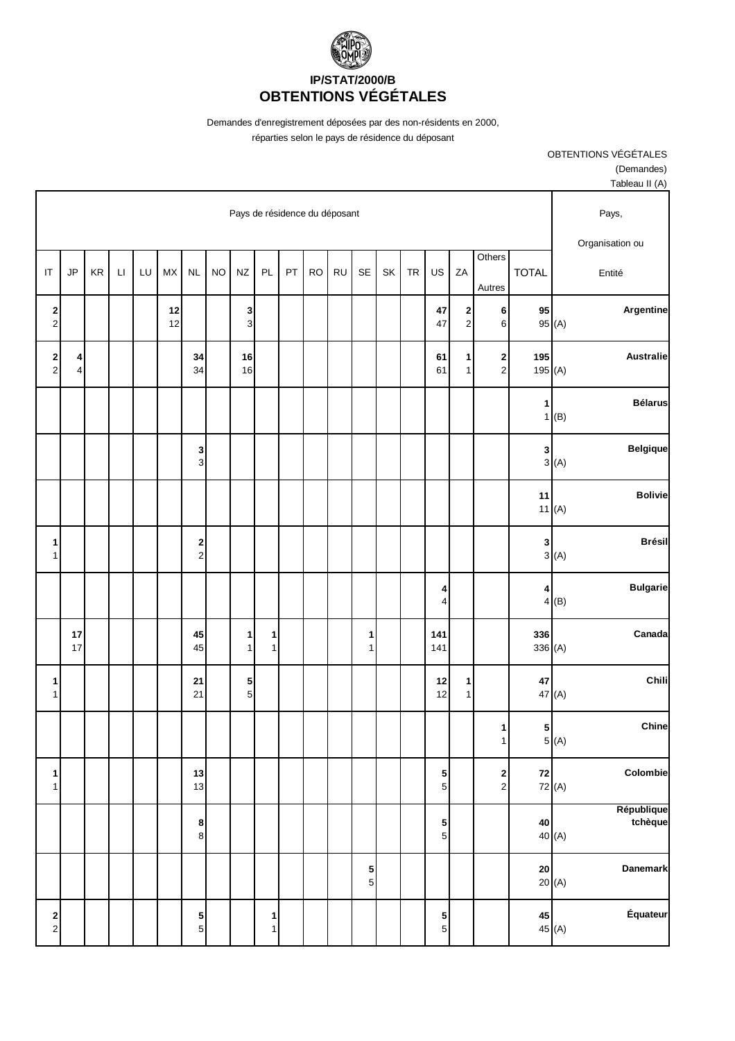

Demandes d'enregistrement déposées par des non-résidents en 2000,

réparties selon le pays de résidence du déposant

OBTENTIONS VÉGÉTALES

(Demandes)

|                                             |              |    |                        |    |          |                              |           |                               |              |    |           |           |                   |    |           |                              |                                       |                                         |                | Tableau II (A)                  |
|---------------------------------------------|--------------|----|------------------------|----|----------|------------------------------|-----------|-------------------------------|--------------|----|-----------|-----------|-------------------|----|-----------|------------------------------|---------------------------------------|-----------------------------------------|----------------|---------------------------------|
|                                             |              |    |                        |    |          |                              |           | Pays de résidence du déposant |              |    |           |           |                   |    |           |                              |                                       |                                         |                | Pays,<br>Organisation ou        |
| $\mathsf{I}\mathsf{T}$                      | JP           | KR | $\mathsf{L}\mathsf{I}$ | LU | MX       | NL                           | <b>NO</b> | <b>NZ</b>                     | PL           | PT | <b>RO</b> | <b>RU</b> | SE                | SK | <b>TR</b> | US                           | ZA                                    | Others<br>Autres                        | <b>TOTAL</b>   | Entité                          |
| $\begin{array}{c} \n2 \\ \n2 \n\end{array}$ |              |    |                        |    | 12<br>12 |                              |           | $\frac{3}{3}$                 |              |    |           |           |                   |    |           | 47<br>47                     | $\begin{array}{c} 2 \\ 2 \end{array}$ | 6<br>6                                  | 95             | Argentine<br>95 (A)             |
| $\begin{array}{c} 2 \\ 2 \end{array}$       | 4<br>$\vert$ |    |                        |    |          | 34<br>34                     |           | 16<br>16                      |              |    |           |           |                   |    |           | 61<br>61                     | 1<br>$\mathbf{1}$                     | $\overline{\mathbf{c}}$<br>$\mathbf{2}$ | 195<br>195(A)  | <b>Australie</b>                |
|                                             |              |    |                        |    |          |                              |           |                               |              |    |           |           |                   |    |           |                              |                                       |                                         | $\vert$ 1      | <b>Bélarus</b><br>1(B)          |
|                                             |              |    |                        |    |          | 3<br>3                       |           |                               |              |    |           |           |                   |    |           |                              |                                       |                                         | $\mathbf{3}$   | <b>Belgique</b><br>3(A)         |
|                                             |              |    |                        |    |          |                              |           |                               |              |    |           |           |                   |    |           |                              |                                       |                                         | 11             | <b>Bolivie</b><br>11(A)         |
| 1<br>$\mathbf{1}$                           |              |    |                        |    |          | 2<br>$\overline{\mathbf{c}}$ |           |                               |              |    |           |           |                   |    |           |                              |                                       |                                         | $\mathbf{3}$   | <b>Brésil</b><br>3(A)           |
|                                             |              |    |                        |    |          |                              |           |                               |              |    |           |           |                   |    |           | 4<br>$\overline{\mathbf{r}}$ |                                       |                                         | $\overline{4}$ | <b>Bulgarie</b><br>4(B)         |
|                                             | 17<br>17     |    |                        |    |          | 45<br>45                     |           | $\mathbf{1}$<br>$\mathbf{1}$  | 1<br>1       |    |           |           | 1<br>$\mathbf{1}$ |    |           | 141<br>141                   |                                       |                                         | 336<br>336 (A) | Canada                          |
| 1<br>$\mathbf{1}$                           |              |    |                        |    |          | 21<br>21                     |           | 5<br>$\overline{5}$           |              |    |           |           |                   |    |           | 12<br>12                     | 1<br>$\mathbf{1}$                     |                                         | $\bf 47$       | Chili<br>47 (A)                 |
|                                             |              |    |                        |    |          |                              |           |                               |              |    |           |           |                   |    |           |                              |                                       | 1<br>1                                  | $5\vert$       | Chine<br>5(A)                   |
| $\mathbf{1}$<br>$\mathbf{1}$                |              |    |                        |    |          | 13<br>13                     |           |                               |              |    |           |           |                   |    |           | $\frac{5}{5}$                |                                       | $\frac{2}{2}$                           | 72             | Colombie<br>72 (A)              |
|                                             |              |    |                        |    |          | 8<br>$\bf 8$                 |           |                               |              |    |           |           |                   |    |           | $\frac{5}{5}$                |                                       |                                         | ${\bf 40}$     | République<br>tchèque<br>40 (A) |
|                                             |              |    |                        |    |          |                              |           |                               |              |    |           |           | 5<br>5            |    |           |                              |                                       |                                         | ${\bf 20}$     | Danemark<br>20(A)               |
| $\begin{array}{c} \n2 \\ \n2 \n\end{array}$ |              |    |                        |    |          | 5<br>$\overline{5}$          |           |                               | $\vert$<br>1 |    |           |           |                   |    |           | $\frac{5}{5}$                |                                       |                                         | 45             | Équateur<br>45 (A)              |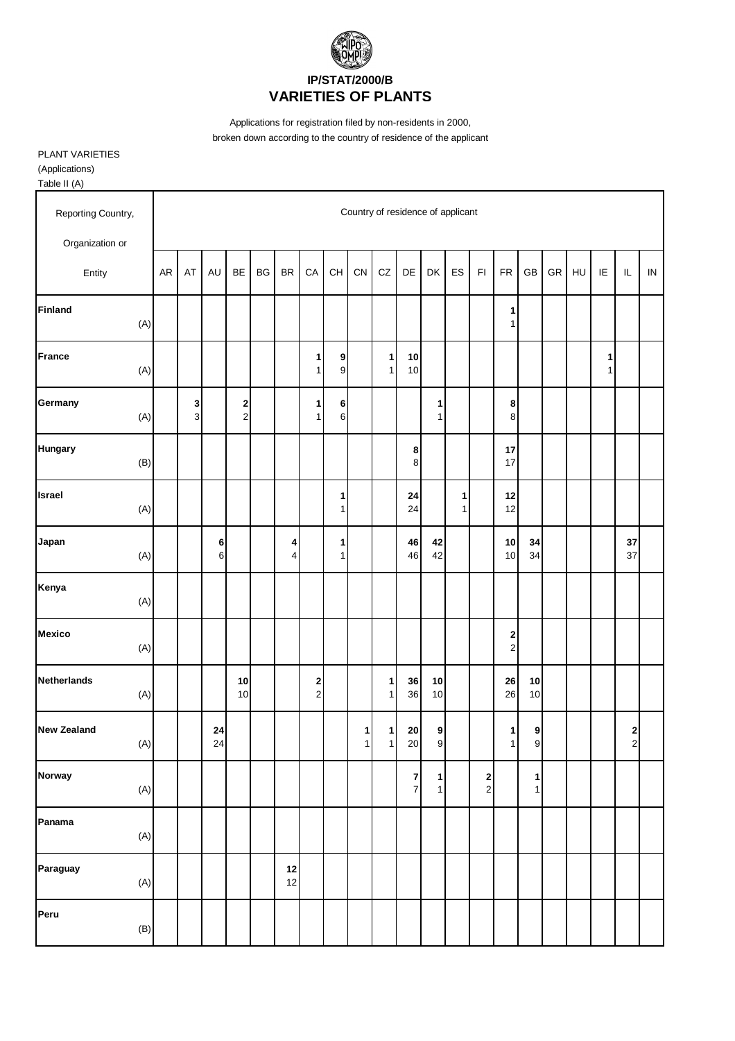

Applications for registration filed by non-residents in 2000, broken down according to the country of residence of the applicant

PLANT VARIETIES (Applications) Table II (A)

| Reporting Country,<br>Organization or |    |        |                  |               |           |                     |                               |                   |        |                   | Country of residence of applicant |                              |                   |                         |                            |                                  |    |    |                   |               |            |
|---------------------------------------|----|--------|------------------|---------------|-----------|---------------------|-------------------------------|-------------------|--------|-------------------|-----------------------------------|------------------------------|-------------------|-------------------------|----------------------------|----------------------------------|----|----|-------------------|---------------|------------|
| Entity                                | AR | AT     | AU               | BE            | <b>BG</b> | BR                  | CA                            | CH                | CN     | CZ                | DE                                | DK                           | ES                | $\mathsf{F} \mathsf{I}$ | <b>FR</b>                  | GB                               | GR | HU | IE                | $\mathsf{IL}$ | ${\sf IN}$ |
| <b>Finland</b><br>(A)                 |    |        |                  |               |           |                     |                               |                   |        |                   |                                   |                              |                   |                         | $\mathbf{1}$<br>1          |                                  |    |    |                   |               |            |
| <b>France</b><br>(A)                  |    |        |                  |               |           |                     | 1<br>$\mathbf{1}$             | 9<br>9            |        | 1<br>$\mathbf{1}$ | 10<br>10                          |                              |                   |                         |                            |                                  |    |    | 1<br>$\mathbf{1}$ |               |            |
| Germany<br>(A)                        |    | 3<br>3 |                  | $\frac{2}{2}$ |           |                     | 1<br>$\mathbf{1}$             | 6<br>6            |        |                   |                                   | 1<br>$\mathbf{1}$            |                   |                         | 8<br>8                     |                                  |    |    |                   |               |            |
| <b>Hungary</b><br>(B)                 |    |        |                  |               |           |                     |                               |                   |        |                   | 8<br>8 <sup>°</sup>               |                              |                   |                         | $17\,$<br>$17\,$           |                                  |    |    |                   |               |            |
| Israel<br>(A)                         |    |        |                  |               |           |                     |                               | 1<br>$\mathbf{1}$ |        |                   | 24<br>24                          |                              | 1<br>$\mathbf{1}$ |                         | 12<br>12                   |                                  |    |    |                   |               |            |
| Japan<br>(A)                          |    |        | 6<br>6           |               |           | 4<br>$\overline{4}$ |                               | 1<br>1            |        |                   | 46<br>46                          | 42<br>42                     |                   |                         | 10<br>10                   | 34<br>34                         |    |    |                   | 37<br>37      |            |
| Kenya<br>(A)                          |    |        |                  |               |           |                     |                               |                   |        |                   |                                   |                              |                   |                         |                            |                                  |    |    |                   |               |            |
| <b>Mexico</b><br>(A)                  |    |        |                  |               |           |                     |                               |                   |        |                   |                                   |                              |                   |                         | $\mathbf 2$<br>$\mathbf 2$ |                                  |    |    |                   |               |            |
| <b>Netherlands</b><br>(A)             |    |        |                  | 10<br>$10$    |           |                     | $\mathbf 2$<br>$\overline{2}$ |                   |        | 1<br>1            | 36<br>36                          | $10$<br>10                   |                   |                         | ${\bf 26}$<br>26           | 10<br>10                         |    |    |                   |               |            |
| <b>New Zealand</b><br>(A)             |    |        | ${\bf 24}$<br>24 |               |           |                     |                               |                   | 1<br>1 | $\mathbf{1}$<br>1 | 20<br>20                          | 9<br>$\mathbf{g}$            |                   |                         | 1<br>$\mathbf{1}$          | $\boldsymbol{9}$<br>$\mathbf{g}$ |    |    |                   | $\frac{2}{2}$ |            |
| <b>Norway</b><br>(A)                  |    |        |                  |               |           |                     |                               |                   |        |                   | $\mathbf{7}$<br>$\overline{7}$    | $\mathbf{1}$<br>$\mathbf{1}$ |                   | 2<br>$\mathbf{2}$       |                            | 1<br>$\mathbf{1}$                |    |    |                   |               |            |
| Panama<br>(A)                         |    |        |                  |               |           |                     |                               |                   |        |                   |                                   |                              |                   |                         |                            |                                  |    |    |                   |               |            |
| Paraguay<br>(A)                       |    |        |                  |               |           | 12<br>12            |                               |                   |        |                   |                                   |                              |                   |                         |                            |                                  |    |    |                   |               |            |
| Peru<br>(B)                           |    |        |                  |               |           |                     |                               |                   |        |                   |                                   |                              |                   |                         |                            |                                  |    |    |                   |               |            |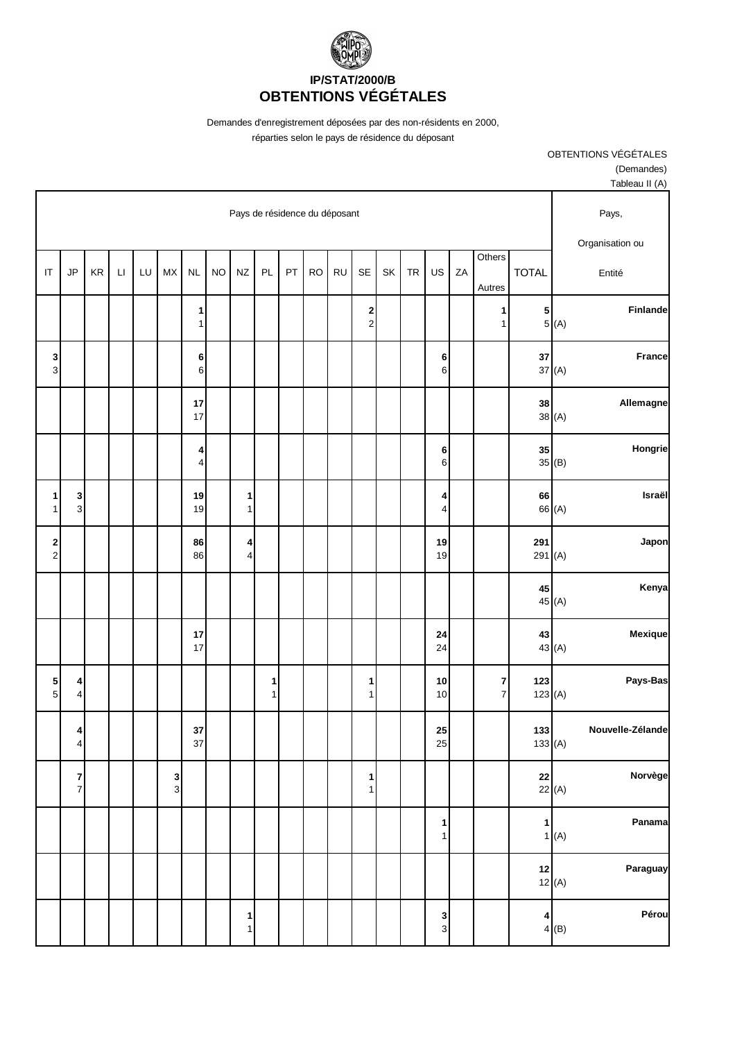

Demandes d'enregistrement déposées par des non-résidents en 2000,

réparties selon le pays de résidence du déposant

| Tableau II (A)           |              |                |                                    |    |                              |           |    |                                           |           |           |    |                   |                               |           |                     |               |    |                        |    |                             |                                          |
|--------------------------|--------------|----------------|------------------------------------|----|------------------------------|-----------|----|-------------------------------------------|-----------|-----------|----|-------------------|-------------------------------|-----------|---------------------|---------------|----|------------------------|----|-----------------------------|------------------------------------------|
| Pays,<br>Organisation ou |              |                |                                    |    |                              |           |    |                                           |           |           |    |                   | Pays de résidence du déposant |           |                     |               |    |                        |    |                             |                                          |
| Entité                   |              | <b>TOTAL</b>   | Others<br>Autres                   | ZA | US                           | <b>TR</b> | SK | <b>SE</b>                                 | <b>RU</b> | <b>RO</b> | PT | PL                | <b>NZ</b>                     | <b>NO</b> | <b>NL</b>           | MX            | LU | $\mathsf{L}\mathsf{I}$ | KR | JP                          | $\mathsf{I}\mathsf{T}$                   |
| Finlande                 | 5(A)         | ${\bf 5}$      | 1<br>$\mathbf{1}$                  |    |                              |           |    | $\overline{\mathbf{c}}$<br>$\overline{c}$ |           |           |    |                   |                               |           | 1<br>$\mathbf{1}$   |               |    |                        |    |                             |                                          |
| <b>France</b>            | 37(A)        | ${\bf 37}$     |                                    |    | 6<br>$\,$ 6 $\,$             |           |    |                                           |           |           |    |                   |                               |           | 6<br>6              |               |    |                        |    |                             | <b>3</b><br>კ                            |
| Allemagne                | 38(A)        | 38             |                                    |    |                              |           |    |                                           |           |           |    |                   |                               |           | 17<br>17            |               |    |                        |    |                             |                                          |
| Hongrie                  | 35(B)        | 35             |                                    |    | 6<br>$\,$ 6 $\,$             |           |    |                                           |           |           |    |                   |                               |           | 4<br>$\overline{4}$ |               |    |                        |    |                             |                                          |
| Israël                   | 66 (A)       | 66             |                                    |    | 4<br>$\overline{\mathbf{4}}$ |           |    |                                           |           |           |    |                   | $\mathbf{1}$<br>1             |           | 19<br>19            |               |    |                        |    | 3<br>$\mathbf{3}$           | $\mathbf{1}$<br>$\mathbf{1}$             |
| Japon                    |              | 291<br>291 (A) |                                    |    | 19<br>19                     |           |    |                                           |           |           |    |                   | 4<br>$\overline{4}$           |           | 86<br>86            |               |    |                        |    |                             | $\begin{array}{c} \n2 \\ 2\n\end{array}$ |
| Kenya                    | 45 (A)       | 45             |                                    |    |                              |           |    |                                           |           |           |    |                   |                               |           |                     |               |    |                        |    |                             |                                          |
| Mexique                  | 43 (A)       | 43             |                                    |    | 24<br>24                     |           |    |                                           |           |           |    |                   |                               |           | 17<br>17            |               |    |                        |    |                             |                                          |
| Pays-Bas                 |              | 123<br>123(A)  | $\boldsymbol{7}$<br>$\overline{7}$ |    | 10<br>10                     |           |    | 1<br>1                                    |           |           |    | 1<br>$\mathbf{1}$ |                               |           |                     |               |    |                        |    | 4<br>$\pmb{4}$              | $\frac{5}{5}$                            |
| Nouvelle-Zélande         | 133(A)       | $133$          |                                    |    | 25<br>25                     |           |    |                                           |           |           |    |                   |                               |           | 37<br>37            |               |    |                        |    | $\boldsymbol{4}$<br>$\vert$ |                                          |
| Norvège                  | 22(A)        | 22             |                                    |    |                              |           |    | $\mathbf{1}$<br>$\mathbf{1}$              |           |           |    |                   |                               |           |                     | $\frac{3}{3}$ |    |                        |    | $\frac{7}{7}$               |                                          |
| Panama                   | 1(A)         | $\mathbf{1}$   |                                    |    | $\mathbf{1}$<br>$\mathbf{1}$ |           |    |                                           |           |           |    |                   |                               |           |                     |               |    |                        |    |                             |                                          |
| Paraguay                 | 12<br>12 (A) |                |                                    |    |                              |           |    |                                           |           |           |    |                   |                               |           |                     |               |    |                        |    |                             |                                          |
| Pérou                    | 4(B)         | 4              |                                    |    | $\frac{3}{3}$                |           |    |                                           |           |           |    |                   | $\mathbf{1}$<br>$\mathbf{1}$  |           |                     |               |    |                        |    |                             |                                          |

(Demandes)

OBTENTIONS VÉGÉTALES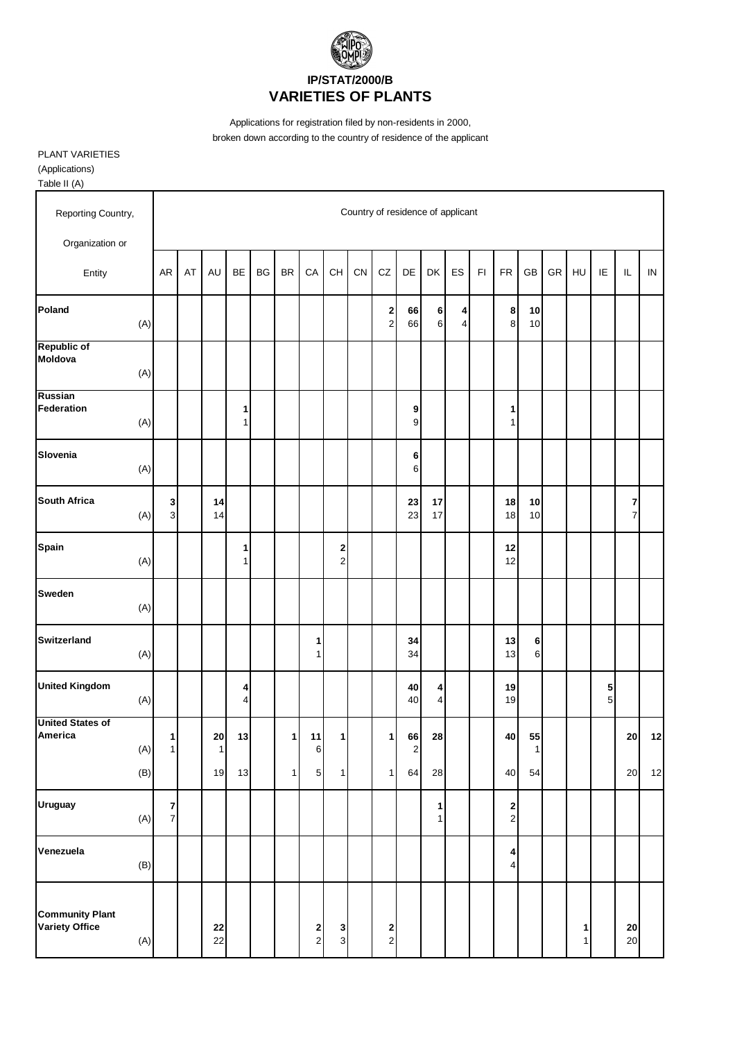

Applications for registration filed by non-residents in 2000, broken down according to the country of residence of the applicant

PLANT VARIETIES (Applications) Table II (A)

| Reporting Country,                              |     |                                  |    |                | Country of residence of applicant<br><b>BE</b><br><b>BR</b><br>CA<br>CH<br>CN<br>CZ<br>DE<br>ES<br>F1<br><b>FR</b><br>GB<br>GR<br>HU<br>IE<br>$\mathsf{IL}$<br>$\sf IN$<br><b>BG</b><br>DK<br>$\bf 6$<br>2<br>8 <sup>1</sup><br>10<br>66<br>$\boldsymbol{4}$<br>$\overline{\mathbf{c}}$<br>6<br>$\overline{4}$<br>10<br>66<br>8 |  |              |                                |                              |  |                     |                    |                              |  |  |                                    |          |  |                   |                      |                     |    |
|-------------------------------------------------|-----|----------------------------------|----|----------------|---------------------------------------------------------------------------------------------------------------------------------------------------------------------------------------------------------------------------------------------------------------------------------------------------------------------------------|--|--------------|--------------------------------|------------------------------|--|---------------------|--------------------|------------------------------|--|--|------------------------------------|----------|--|-------------------|----------------------|---------------------|----|
| Organization or                                 |     |                                  |    |                |                                                                                                                                                                                                                                                                                                                                 |  |              |                                |                              |  |                     |                    |                              |  |  |                                    |          |  |                   |                      |                     |    |
| Entity                                          |     | AR                               | AT | AU             |                                                                                                                                                                                                                                                                                                                                 |  |              |                                |                              |  |                     |                    |                              |  |  |                                    |          |  |                   |                      |                     |    |
| Poland                                          | (A) |                                  |    |                |                                                                                                                                                                                                                                                                                                                                 |  |              |                                |                              |  |                     |                    |                              |  |  |                                    |          |  |                   |                      |                     |    |
| <b>Republic of</b><br>Moldova                   | (A) |                                  |    |                |                                                                                                                                                                                                                                                                                                                                 |  |              |                                |                              |  |                     |                    |                              |  |  |                                    |          |  |                   |                      |                     |    |
| Russian<br>Federation                           | (A) |                                  |    |                | 1<br>$\mathbf{1}$                                                                                                                                                                                                                                                                                                               |  |              |                                |                              |  |                     | 9<br>9             |                              |  |  | $\mathbf{1}$<br>$\mathbf{1}$       |          |  |                   |                      |                     |    |
| Slovenia                                        | (A) |                                  |    |                |                                                                                                                                                                                                                                                                                                                                 |  |              |                                |                              |  |                     | 6<br>6             |                              |  |  |                                    |          |  |                   |                      |                     |    |
| <b>South Africa</b>                             | (A) | $\mathbf{3}$<br>$\overline{3}$   |    | 14<br>14       |                                                                                                                                                                                                                                                                                                                                 |  |              |                                |                              |  |                     | 23<br>23           | 17<br>17                     |  |  | 18<br>18                           | 10<br>10 |  |                   |                      | 7<br>$\overline{7}$ |    |
| Spain                                           | (A) |                                  |    |                | 1<br>1                                                                                                                                                                                                                                                                                                                          |  |              |                                | 2<br>$\overline{\mathbf{c}}$ |  |                     |                    |                              |  |  | 12<br>12                           |          |  |                   |                      |                     |    |
| <b>Sweden</b>                                   | (A) |                                  |    |                |                                                                                                                                                                                                                                                                                                                                 |  |              |                                |                              |  |                     |                    |                              |  |  |                                    |          |  |                   |                      |                     |    |
| <b>Switzerland</b>                              | (A) |                                  |    |                |                                                                                                                                                                                                                                                                                                                                 |  |              | 1<br>1                         |                              |  |                     | 34<br>34           |                              |  |  | 13<br>13                           | 6<br>6   |  |                   |                      |                     |    |
| <b>United Kingdom</b>                           | (A) |                                  |    |                | 4<br>$\overline{4}$                                                                                                                                                                                                                                                                                                             |  |              |                                |                              |  |                     | 40<br>40           | 4<br>$\overline{4}$          |  |  | 19<br>19                           |          |  |                   | 5<br>$5\phantom{.0}$ |                     |    |
| <b>United States of</b><br>America              | (A) | 1<br>11                          |    | 20<br>$1 \mid$ | 13                                                                                                                                                                                                                                                                                                                              |  | 1            | 11<br>6                        | 1                            |  | 1                   | 66<br>$\mathbf{2}$ | 28                           |  |  | 40                                 | 55<br>1  |  |                   |                      | 20                  | 12 |
|                                                 | (B) |                                  |    | 19             | 13                                                                                                                                                                                                                                                                                                                              |  | $\mathbf{1}$ | $\sqrt{5}$                     | $\mathbf{1}$                 |  | $\mathbf{1}$        | 64                 | 28                           |  |  | 40                                 | 54       |  |                   |                      | 20                  | 12 |
| <b>Uruguay</b>                                  | (A) | $\overline{7}$<br>$\overline{7}$ |    |                |                                                                                                                                                                                                                                                                                                                                 |  |              |                                |                              |  |                     |                    | $\mathbf{1}$<br>$\mathbf{1}$ |  |  | $\mathbf{2}$<br>$\overline{2}$     |          |  |                   |                      |                     |    |
| Venezuela                                       | (B) |                                  |    |                |                                                                                                                                                                                                                                                                                                                                 |  |              |                                |                              |  |                     |                    |                              |  |  | $\boldsymbol{4}$<br>$\overline{4}$ |          |  |                   |                      |                     |    |
| <b>Community Plant</b><br><b>Variety Office</b> | (A) |                                  |    | 22<br>22       |                                                                                                                                                                                                                                                                                                                                 |  |              | $\mathbf{2}$<br>$\overline{2}$ | 3 <sup>3</sup>               |  | 2<br>$\overline{a}$ |                    |                              |  |  |                                    |          |  | 1<br>$\mathbf{1}$ |                      | ${\bf 20}$<br>20    |    |